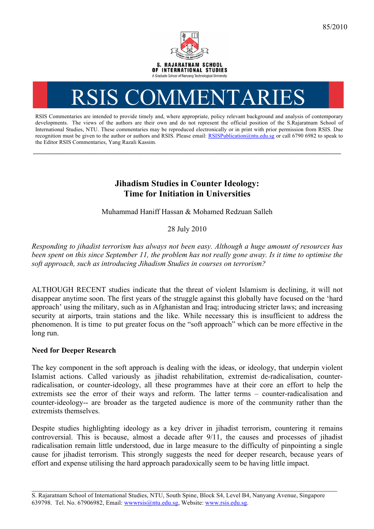

# RSIS COMMENTARI

RSIS Commentaries are intended to provide timely and, where appropriate, policy relevant background and analysis of contemporary developments. The views of the authors are their own and do not represent the official position of the S.Rajaratnam School of International Studies, NTU. These commentaries may be reproduced electronically or in print with prior permission from RSIS. Due recognition must be given to the author or authors and RSIS. Please email: RSISPublication@ntu.edu.sg or call 6790 6982 to speak to the Editor RSIS Commentaries, Yang Razali Kassim.

**\_\_\_\_\_\_\_\_\_\_\_\_\_\_\_\_\_\_\_\_\_\_\_\_\_\_\_\_\_\_\_\_\_\_\_\_\_\_\_\_\_\_\_\_\_\_\_\_\_\_\_\_\_\_\_\_\_\_\_\_\_\_\_\_\_\_\_\_\_\_\_\_\_\_\_\_\_\_\_\_\_\_\_\_\_\_\_\_\_\_\_\_\_\_\_\_\_\_**

## **Jihadism Studies in Counter Ideology: Time for Initiation in Universities**

Muhammad Haniff Hassan & Mohamed Redzuan Salleh

### 28 July 2010

*Responding to jihadist terrorism has always not been easy. Although a huge amount of resources has been spent on this since September 11, the problem has not really gone away. Is it time to optimise the soft approach, such as introducing Jihadism Studies in courses on terrorism?*

ALTHOUGH RECENT studies indicate that the threat of violent Islamism is declining, it will not disappear anytime soon. The first years of the struggle against this globally have focused on the 'hard approach' using the military, such as in Afghanistan and Iraq; introducing stricter laws; and increasing security at airports, train stations and the like. While necessary this is insufficient to address the phenomenon. It is time to put greater focus on the "soft approach" which can be more effective in the long run.

#### **Need for Deeper Research**

The key component in the soft approach is dealing with the ideas, or ideology, that underpin violent Islamist actions. Called variously as jihadist rehabilitation, extremist de-radicalisation, counterradicalisation, or counter-ideology, all these programmes have at their core an effort to help the extremists see the error of their ways and reform. The latter terms – counter-radicalisation and counter-ideology-- are broader as the targeted audience is more of the community rather than the extremists themselves.

Despite studies highlighting ideology as a key driver in jihadist terrorism, countering it remains controversial. This is because, almost a decade after 9/11, the causes and processes of jihadist radicalisation remain little understood, due in large measure to the difficulty of pinpointing a single cause for jihadist terrorism. This strongly suggests the need for deeper research, because years of effort and expense utilising the hard approach paradoxically seem to be having little impact.

\_\_\_\_\_\_\_\_\_\_\_\_\_\_\_\_\_\_\_\_\_\_\_\_\_\_\_\_\_\_\_\_\_\_\_\_\_\_\_\_\_\_\_\_\_\_\_\_\_\_\_\_\_\_\_\_\_\_\_\_\_\_\_\_\_\_\_\_\_\_\_\_\_\_\_\_\_\_\_\_\_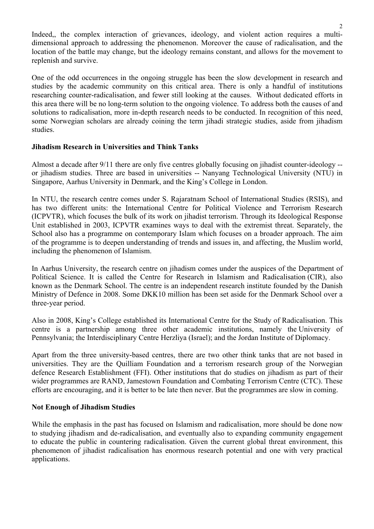Indeed,, the complex interaction of grievances, ideology, and violent action requires a multidimensional approach to addressing the phenomenon. Moreover the cause of radicalisation, and the location of the battle may change, but the ideology remains constant, and allows for the movement to replenish and survive.

One of the odd occurrences in the ongoing struggle has been the slow development in research and studies by the academic community on this critical area. There is only a handful of institutions researching counter-radicalisation, and fewer still looking at the causes. Without dedicated efforts in this area there will be no long-term solution to the ongoing violence. To address both the causes of and solutions to radicalisation, more in-depth research needs to be conducted. In recognition of this need, some Norwegian scholars are already coining the term jihadi strategic studies, aside from jihadism studies.

#### **Jihadism Research in Universities and Think Tanks**

Almost a decade after 9/11 there are only five centres globally focusing on jihadist counter-ideology - or jihadism studies. Three are based in universities -- Nanyang Technological University (NTU) in Singapore, Aarhus University in Denmark, and the King's College in London.

In NTU, the research centre comes under S. Rajaratnam School of International Studies (RSIS), and has two different units: the International Centre for Political Violence and Terrorism Research (ICPVTR), which focuses the bulk of its work on jihadist terrorism. Through its Ideological Response Unit established in 2003, ICPVTR examines ways to deal with the extremist threat. Separately, the School also has a programme on contemporary Islam which focuses on a broader approach. The aim of the programme is to deepen understanding of trends and issues in, and affecting, the Muslim world, including the phenomenon of Islamism.

In Aarhus University, the research centre on jihadism comes under the auspices of the Department of Political Science. It is called the Centre for Research in Islamism and Radicalisation (CIR), also known as the Denmark School. The centre is an independent research institute founded by the Danish Ministry of Defence in 2008. Some DKK10 million has been set aside for the Denmark School over a three-year period.

Also in 2008, King's College established its International Centre for the Study of Radicalisation. This centre is a partnership among three other academic institutions, namely the University of Pennsylvania; the Interdisciplinary Centre Herzliya (Israel); and the Jordan Institute of Diplomacy.

Apart from the three university-based centres, there are two other think tanks that are not based in universities. They are the Quilliam Foundation and a terrorism research group of the Norwegian defence Research Establishment (FFI). Other institutions that do studies on jihadism as part of their wider programmes are RAND, Jamestown Foundation and Combating Terrorism Centre (CTC). These efforts are encouraging, and it is better to be late then never. But the programmes are slow in coming.

#### **Not Enough of Jihadism Studies**

While the emphasis in the past has focused on Islamism and radicalisation, more should be done now to studying jihadism and de-radicalisation, and eventually also to expanding community engagement to educate the public in countering radicalisation. Given the current global threat environment, this phenomenon of jihadist radicalisation has enormous research potential and one with very practical applications.